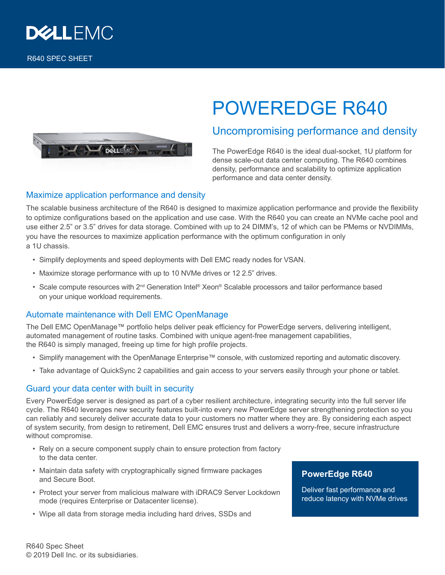

# DELLEMON

# POWEREDGE R640

## Uncompromising performance and density

The PowerEdge R640 is the ideal dual-socket, 1U platform for dense scale-out data center computing. The R640 combines density, performance and scalability to optimize application performance and data center density.

### Maximize application performance and density

The scalable business architecture of the R640 is designed to maximize application performance and provide the flexibility to optimize configurations based on the application and use case. With the R640 you can create an NVMe cache pool and use either 2.5" or 3.5" drives for data storage. Combined with up to 24 DIMM's, 12 of which can be PMems or NVDIMMs, you have the resources to maximize application performance with the optimum configuration in only a 1U chassis.

- Simplify deployments and speed deployments with Dell EMC ready nodes for VSAN.
- Maximize storage performance with up to 10 NVMe drives or 12 2.5" drives.
- Scale compute resources with 2<sup>nd</sup> Generation Intel® Xeon® Scalable processors and tailor performance based on your unique workload requirements.

#### Automate maintenance with Dell EMC OpenManage

The Dell EMC OpenManage™ portfolio helps deliver peak efficiency for PowerEdge servers, delivering intelligent, automated management of routine tasks. Combined with unique agent-free management capabilities, the R640 is simply managed, freeing up time for high profile projects.

- Simplify management with the OpenManage Enterprise™ console, with customized reporting and automatic discovery.
- Take advantage of QuickSync 2 capabilities and gain access to your servers easily through your phone or tablet.

#### Guard your data center with built in security

Every PowerEdge server is designed as part of a cyber resilient architecture, integrating security into the full server life cycle. The R640 leverages new security features built-into every new PowerEdge server strengthening protection so you can reliably and securely deliver accurate data to your customers no matter where they are. By considering each aspect of system security, from design to retirement, Dell EMC ensures trust and delivers a worry-free, secure infrastructure without compromise.

- Rely on a secure component supply chain to ensure protection from factory to the data center.
- Maintain data safety with cryptographically signed firmware packages and Secure Boot.
- Protect your server from malicious malware with iDRAC9 Server Lockdown mode (requires Enterprise or Datacenter license).
- Wipe all data from storage media including hard drives, SSDs and

#### **PowerEdge R640**

Deliver fast performance and reduce latency with NVMe drives